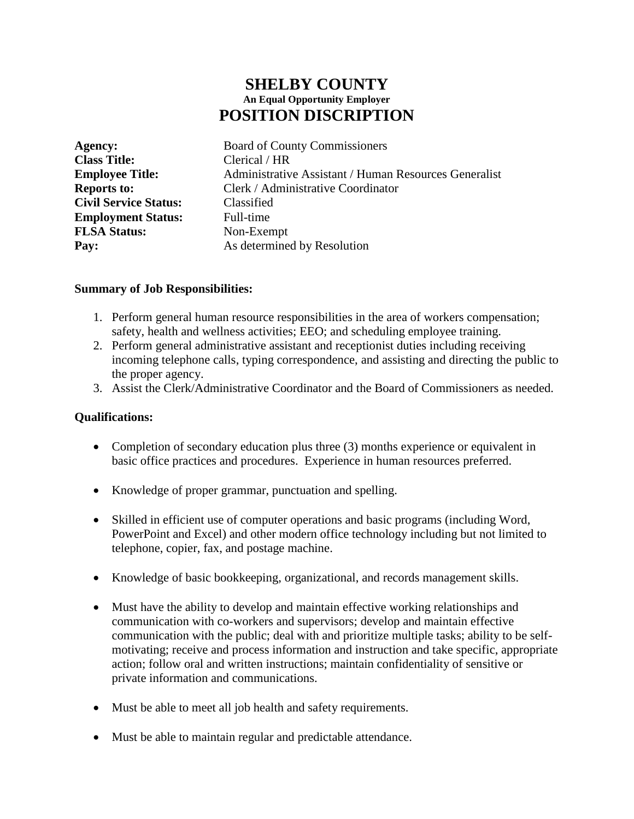# **SHELBY COUNTY An Equal Opportunity Employer POSITION DISCRIPTION**

**Class Title:** Clerical / HR **Civil Service Status:** Classified **Employment Status:** Full-time **FLSA Status:** Non-Exempt

**Agency:** Board of County Commissioners **Employee Title:** Administrative Assistant / Human Resources Generalist **Reports to:** Clerk / Administrative Coordinator **Pay:** As determined by Resolution

#### **Summary of Job Responsibilities:**

- 1. Perform general human resource responsibilities in the area of workers compensation; safety, health and wellness activities; EEO; and scheduling employee training.
- 2. Perform general administrative assistant and receptionist duties including receiving incoming telephone calls, typing correspondence, and assisting and directing the public to the proper agency.
- 3. Assist the Clerk/Administrative Coordinator and the Board of Commissioners as needed.

#### **Qualifications:**

- Completion of secondary education plus three (3) months experience or equivalent in basic office practices and procedures. Experience in human resources preferred.
- Knowledge of proper grammar, punctuation and spelling.
- Skilled in efficient use of computer operations and basic programs (including Word, PowerPoint and Excel) and other modern office technology including but not limited to telephone, copier, fax, and postage machine.
- Knowledge of basic bookkeeping, organizational, and records management skills.
- Must have the ability to develop and maintain effective working relationships and communication with co-workers and supervisors; develop and maintain effective communication with the public; deal with and prioritize multiple tasks; ability to be selfmotivating; receive and process information and instruction and take specific, appropriate action; follow oral and written instructions; maintain confidentiality of sensitive or private information and communications.
- Must be able to meet all job health and safety requirements.
- Must be able to maintain regular and predictable attendance.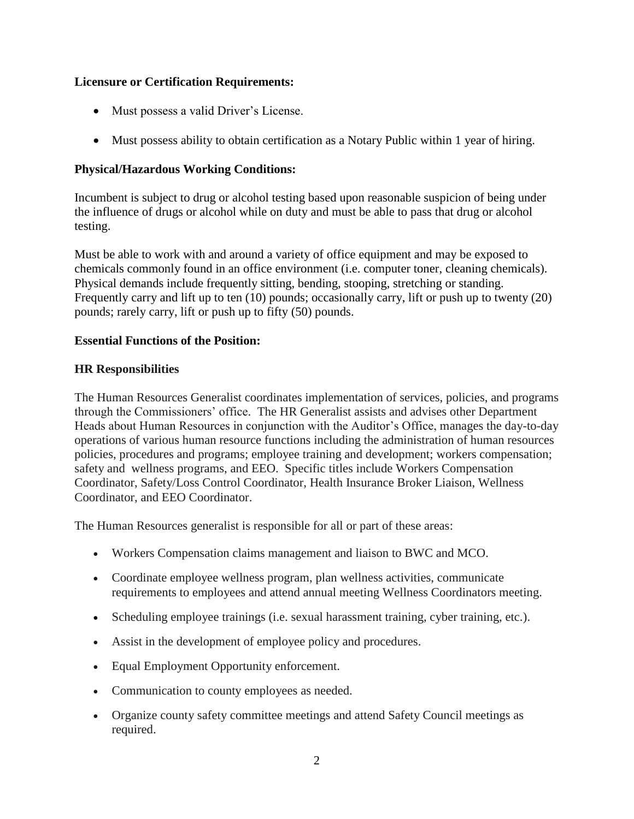### **Licensure or Certification Requirements:**

- Must possess a valid Driver's License.
- Must possess ability to obtain certification as a Notary Public within 1 year of hiring.

# **Physical/Hazardous Working Conditions:**

Incumbent is subject to drug or alcohol testing based upon reasonable suspicion of being under the influence of drugs or alcohol while on duty and must be able to pass that drug or alcohol testing.

Must be able to work with and around a variety of office equipment and may be exposed to chemicals commonly found in an office environment (i.e. computer toner, cleaning chemicals). Physical demands include frequently sitting, bending, stooping, stretching or standing. Frequently carry and lift up to ten (10) pounds; occasionally carry, lift or push up to twenty (20) pounds; rarely carry, lift or push up to fifty (50) pounds.

# **Essential Functions of the Position:**

# **HR Responsibilities**

The Human Resources Generalist coordinates implementation of services, policies, and programs through the Commissioners' office. The HR Generalist assists and advises other Department Heads about Human Resources in conjunction with the Auditor's Office, manages the day-to-day operations of various human resource functions including the administration of human resources policies, procedures and programs; employee training and development; workers compensation; safety and wellness programs, and EEO. Specific titles include Workers Compensation Coordinator, Safety/Loss Control Coordinator, Health Insurance Broker Liaison, Wellness Coordinator, and EEO Coordinator.

The Human Resources generalist is responsible for all or part of these areas:

- Workers Compensation claims management and liaison to BWC and MCO.
- Coordinate employee wellness program, plan wellness activities, communicate requirements to employees and attend annual meeting Wellness Coordinators meeting.
- Scheduling employee trainings (i.e. sexual harassment training, cyber training, etc.).
- Assist in the development of employee policy and procedures.
- Equal Employment Opportunity enforcement.
- Communication to county employees as needed.
- Organize county safety committee meetings and attend Safety Council meetings as required.